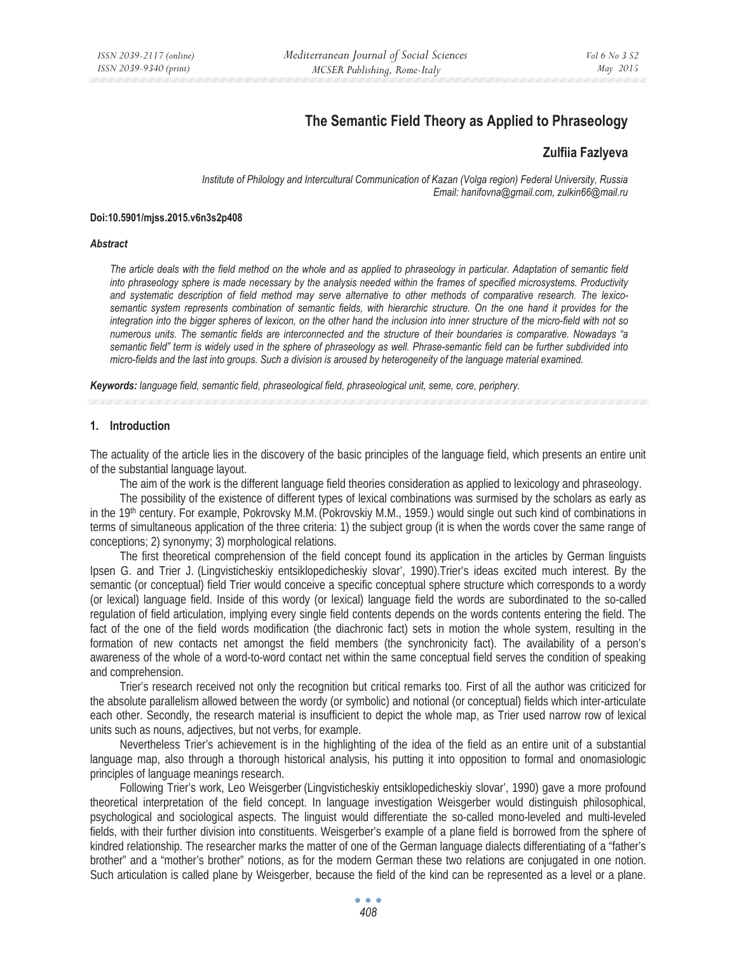# **The Semantic Field Theory as Applied to Phraseology**

# **Zulfiia Fazlyeva**

*Institute of Philology and Intercultural Communication of Kazan (Volga region) Federal University, Russia Email: hanifovna@gmail.com, zulkin66@mail.ru* 

#### **Doi:10.5901/mjss.2015.v6n3s2p408**

#### *Abstract*

*The article deals with the field method on the whole and as applied to phraseology in particular. Adaptation of semantic field into phraseology sphere is made necessary by the analysis needed within the frames of specified microsystems. Productivity and systematic description of field method may serve alternative to other methods of comparative research. The lexicosemantic system represents combination of semantic fields, with hierarchic structure. On the one hand it provides for the integration into the bigger spheres of lexicon, on the other hand the inclusion into inner structure of the micro-field with not so numerous units. The semantic fields are interconnected and the structure of their boundaries is comparative. Nowadays "a semantic field" term is widely used in the sphere of phraseology as well. Phrase-semantic field can be further subdivided into micro-fields and the last into groups. Such a division is aroused by heterogeneity of the language material examined.* 

*Keywords: language field, semantic field, phraseological field, phraseological unit, seme, core, periphery.* 

#### **1. Introduction**

The actuality of the article lies in the discovery of the basic principles of the language field, which presents an entire unit of the substantial language layout.

The aim of the work is the different language field theories consideration as applied to lexicology and phraseology.

The possibility of the existence of different types of lexical combinations was surmised by the scholars as early as in the 19th century. For example, Pokrovsky M.M. (Pokrovskiy M.M., 1959.) would single out such kind of combinations in terms of simultaneous application of the three criteria: 1) the subject group (it is when the words cover the same range of conceptions; 2) synonymy; 3) morphological relations.

The first theoretical comprehension of the field concept found its application in the articles by German linguists Ipsen G. and Trier J. (Lingvisticheskiy entsiklopedicheskiy slovar', 1990).Trier's ideas excited much interest. By the semantic (or conceptual) field Trier would conceive a specific conceptual sphere structure which corresponds to a wordy (or lexical) language field. Inside of this wordy (or lexical) language field the words are subordinated to the so-called regulation of field articulation, implying every single field contents depends on the words contents entering the field. The fact of the one of the field words modification (the diachronic fact) sets in motion the whole system, resulting in the formation of new contacts net amongst the field members (the synchronicity fact). The availability of a person's awareness of the whole of a word-to-word contact net within the same conceptual field serves the condition of speaking and comprehension.

Trier's research received not only the recognition but critical remarks too. First of all the author was criticized for the absolute parallelism allowed between the wordy (or symbolic) and notional (or conceptual) fields which inter-articulate each other. Secondly, the research material is insufficient to depict the whole map, as Trier used narrow row of lexical units such as nouns, adjectives, but not verbs, for example.

Nevertheless Trier's achievement is in the highlighting of the idea of the field as an entire unit of a substantial language map, also through a thorough historical analysis, his putting it into opposition to formal and onomasiologic principles of language meanings research.

Following Trier's work, Leo Weisgerber (Lingvisticheskiy entsiklopedicheskiy slovar', 1990) gave a more profound theoretical interpretation of the field concept. In language investigation Weisgerber would distinguish philosophical, psychological and sociological aspects. The linguist would differentiate the so-called mono-leveled and multi-leveled fields, with their further division into constituents. Weisgerber's example of a plane field is borrowed from the sphere of kindred relationship. The researcher marks the matter of one of the German language dialects differentiating of a "father's brother" and a "mother's brother" notions, as for the modern German these two relations are conjugated in one notion. Such articulation is called plane by Weisgerber, because the field of the kind can be represented as a level or a plane.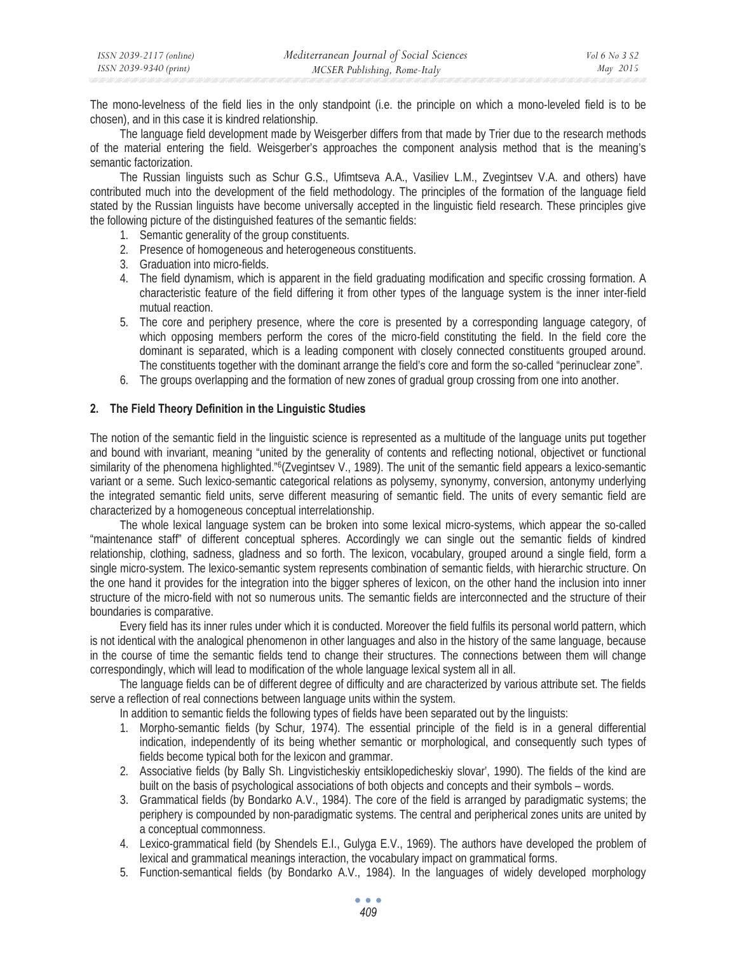The mono-levelness of the field lies in the only standpoint (i.e. the principle on which a mono-leveled field is to be chosen), and in this case it is kindred relationship.

The language field development made by Weisgerber differs from that made by Trier due to the research methods of the material entering the field. Weisgerber's approaches the component analysis method that is the meaning's semantic factorization.

The Russian linguists such as Schur G.S., Ufimtseva A.A., Vasiliev L.M., Zvegintsev V.A. and others) have contributed much into the development of the field methodology. The principles of the formation of the language field stated by the Russian linguists have become universally accepted in the linguistic field research. These principles give the following picture of the distinguished features of the semantic fields:

- 1. Semantic generality of the group constituents.
- 2. Presence of homogeneous and heterogeneous constituents.
- 3. Graduation into micro-fields.
- 4. The field dynamism, which is apparent in the field graduating modification and specific crossing formation. A characteristic feature of the field differing it from other types of the language system is the inner inter-field mutual reaction.
- 5. The core and periphery presence, where the core is presented by a corresponding language category, of which opposing members perform the cores of the micro-field constituting the field. In the field core the dominant is separated, which is a leading component with closely connected constituents grouped around. The constituents together with the dominant arrange the field's core and form the so-called "perinuclear zone".
- 6. The groups overlapping and the formation of new zones of gradual group crossing from one into another.

#### **2. The Field Theory Definition in the Linguistic Studies**

The notion of the semantic field in the linguistic science is represented as a multitude of the language units put together and bound with invariant, meaning "united by the generality of contents and reflecting notional, objectivet or functional similarity of the phenomena highlighted."6(Zvegintsev V., 1989). The unit of the semantic field appears a lexico-semantic variant or a seme. Such lexico-semantic categorical relations as polysemy, synonymy, conversion, antonymy underlying the integrated semantic field units, serve different measuring of semantic field. The units of every semantic field are characterized by a homogeneous conceptual interrelationship.

The whole lexical language system can be broken into some lexical micro-systems, which appear the so-called "maintenance staff" of different conceptual spheres. Accordingly we can single out the semantic fields of kindred relationship, clothing, sadness, gladness and so forth. The lexicon, vocabulary, grouped around a single field, form a single micro-system. The lexico-semantic system represents combination of semantic fields, with hierarchic structure. On the one hand it provides for the integration into the bigger spheres of lexicon, on the other hand the inclusion into inner structure of the micro-field with not so numerous units. The semantic fields are interconnected and the structure of their boundaries is comparative.

Every field has its inner rules under which it is conducted. Moreover the field fulfils its personal world pattern, which is not identical with the analogical phenomenon in other languages and also in the history of the same language, because in the course of time the semantic fields tend to change their structures. The connections between them will change correspondingly, which will lead to modification of the whole language lexical system all in all.

The language fields can be of different degree of difficulty and are characterized by various attribute set. The fields serve a reflection of real connections between language units within the system.

In addition to semantic fields the following types of fields have been separated out by the linguists:

- 1. Morpho-semantic fields (by Schur*,* 1974). The essential principle of the field is in a general differential indication, independently of its being whether semantic or morphological, and consequently such types of fields become typical both for the lexicon and grammar.
- 2. Associative fields (by Bally Sh. Lingvisticheskiy entsiklopedicheskiy slovar', 1990). The fields of the kind are built on the basis of psychological associations of both objects and concepts and their symbols – words.
- 3. Grammatical fields (by Bondarko A.V., 1984). The core of the field is arranged by paradigmatic systems; the periphery is compounded by non-paradigmatic systems. The central and peripherical zones units are united by a conceptual commonness.
- 4. Lexico-grammatical field (by Shendels E.I., Gulyga E.V., 1969). The authors have developed the problem of lexical and grammatical meanings interaction, the vocabulary impact on grammatical forms.
- 5. Function-semantical fields (by Bondarko A.V., 1984). In the languages of widely developed morphology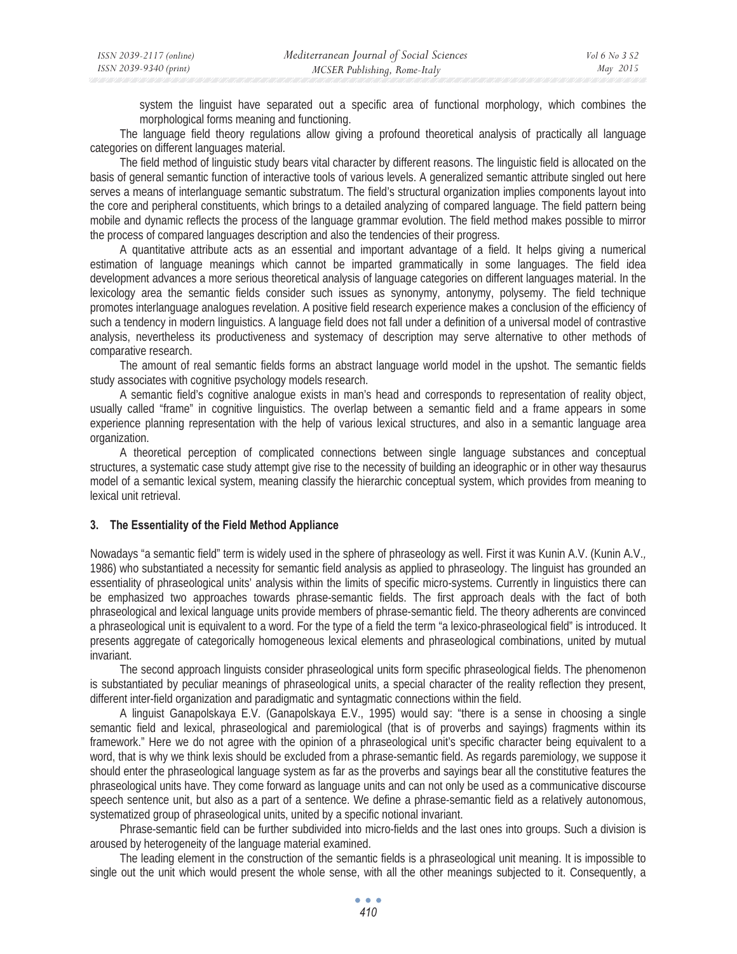system the linguist have separated out a specific area of functional morphology, which combines the morphological forms meaning and functioning.

The language field theory regulations allow giving a profound theoretical analysis of practically all language categories on different languages material.

The field method of linguistic study bears vital character by different reasons. The linguistic field is allocated on the basis of general semantic function of interactive tools of various levels. A generalized semantic attribute singled out here serves a means of interlanguage semantic substratum. The field's structural organization implies components layout into the core and peripheral constituents, which brings to a detailed analyzing of compared language. The field pattern being mobile and dynamic reflects the process of the language grammar evolution. The field method makes possible to mirror the process of compared languages description and also the tendencies of their progress.

A quantitative attribute acts as an essential and important advantage of a field. It helps giving a numerical estimation of language meanings which cannot be imparted grammatically in some languages. The field idea development advances a more serious theoretical analysis of language categories on different languages material. In the lexicology area the semantic fields consider such issues as synonymy, antonymy, polysemy. The field technique promotes interlanguage analogues revelation. A positive field research experience makes a conclusion of the efficiency of such a tendency in modern linguistics. A language field does not fall under a definition of a universal model of contrastive analysis, nevertheless its productiveness and systemacy of description may serve alternative to other methods of comparative research.

The amount of real semantic fields forms an abstract language world model in the upshot. The semantic fields study associates with cognitive psychology models research.

A semantic field's cognitive analogue exists in man's head and corresponds to representation of reality object, usually called "frame" in cognitive linguistics. The overlap between a semantic field and a frame appears in some experience planning representation with the help of various lexical structures, and also in a semantic language area organization.

A theoretical perception of complicated connections between single language substances and conceptual structures, a systematic case study attempt give rise to the necessity of building an ideographic or in other way thesaurus model of a semantic lexical system, meaning classify the hierarchic conceptual system, which provides from meaning to lexical unit retrieval.

### **3. The Essentiality of the Field Method Appliance**

Nowadays "a semantic field" term is widely used in the sphere of phraseology as well. First it was Kunin A.V. (Kunin A.V.*,*  1986) who substantiated a necessity for semantic field analysis as applied to phraseology. The linguist has grounded an essentiality of phraseological units' analysis within the limits of specific micro-systems. Currently in linguistics there can be emphasized two approaches towards phrase-semantic fields. The first approach deals with the fact of both phraseological and lexical language units provide members of phrase-semantic field. The theory adherents are convinced a phraseological unit is equivalent to a word. For the type of a field the term "a lexico-phraseological field" is introduced. It presents aggregate of categorically homogeneous lexical elements and phraseological combinations, united by mutual invariant.

The second approach linguists consider phraseological units form specific phraseological fields. The phenomenon is substantiated by peculiar meanings of phraseological units, a special character of the reality reflection they present, different inter-field organization and paradigmatic and syntagmatic connections within the field.

A linguist Ganapolskaya E.V. (Ganapolskaya E.V., 1995) would say: "there is a sense in choosing a single semantic field and lexical, phraseological and paremiological (that is of proverbs and sayings) fragments within its framework." Here we do not agree with the opinion of a phraseological unit's specific character being equivalent to a word, that is why we think lexis should be excluded from a phrase-semantic field. As regards paremiology, we suppose it should enter the phraseological language system as far as the proverbs and sayings bear all the constitutive features the phraseological units have. They come forward as language units and can not only be used as a communicative discourse speech sentence unit, but also as a part of a sentence. We define a phrase-semantic field as a relatively autonomous, systematized group of phraseological units, united by a specific notional invariant.

Phrase-semantic field can be further subdivided into micro-fields and the last ones into groups. Such a division is aroused by heterogeneity of the language material examined.

The leading element in the construction of the semantic fields is a phraseological unit meaning. It is impossible to single out the unit which would present the whole sense, with all the other meanings subjected to it. Consequently, a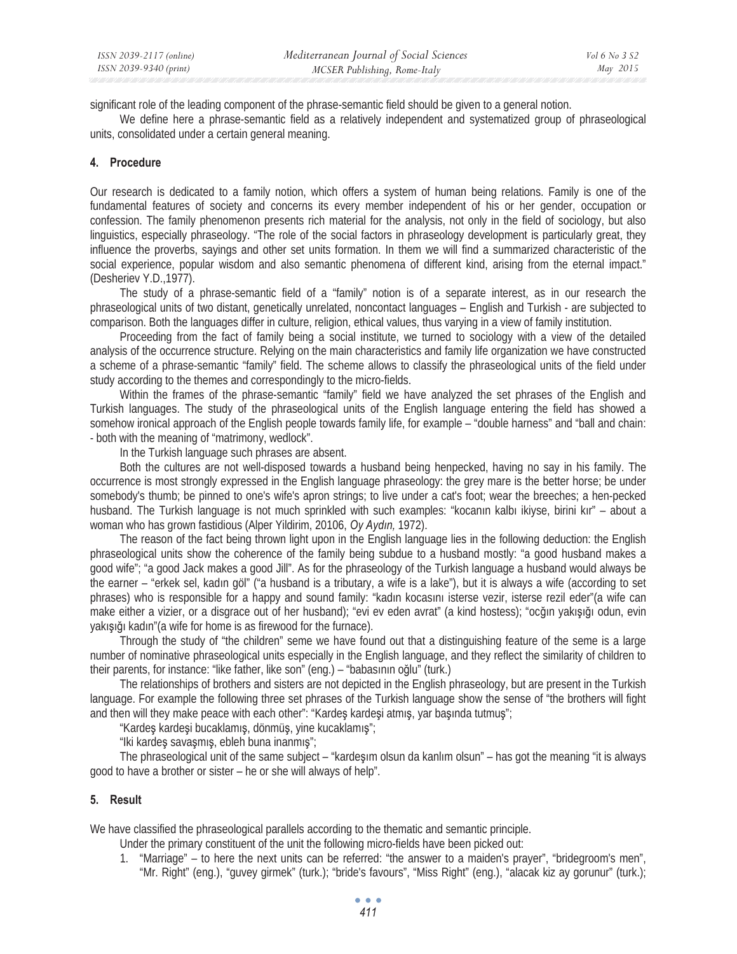significant role of the leading component of the phrase-semantic field should be given to a general notion.

We define here a phrase-semantic field as a relatively independent and systematized group of phraseological units, consolidated under a certain general meaning.

### **4. Procedure**

Our research is dedicated to a family notion, which offers a system of human being relations. Family is one of the fundamental features of society and concerns its every member independent of his or her gender, occupation or confession. The family phenomenon presents rich material for the analysis, not only in the field of sociology, but also linguistics, especially phraseology. "The role of the social factors in phraseology development is particularly great, they influence the proverbs, sayings and other set units formation. In them we will find a summarized characteristic of the social experience, popular wisdom and also semantic phenomena of different kind, arising from the eternal impact." (Desheriev Y.D.,1977).

The study of a phrase-semantic field of a "family" notion is of a separate interest, as in our research the phraseological units of two distant, genetically unrelated, noncontact languages – English and Turkish - are subjected to comparison. Both the languages differ in culture, religion, ethical values, thus varying in a view of family institution.

Proceeding from the fact of family being a social institute, we turned to sociology with a view of the detailed analysis of the occurrence structure. Relying on the main characteristics and family life organization we have constructed a scheme of a phrase-semantic "family" field. The scheme allows to classify the phraseological units of the field under study according to the themes and correspondingly to the micro-fields.

Within the frames of the phrase-semantic "family" field we have analyzed the set phrases of the English and Turkish languages. The study of the phraseological units of the English language entering the field has showed a somehow ironical approach of the English people towards family life, for example – "double harness" and "ball and chain: - both with the meaning of "matrimony, wedlock".

In the Turkish language such phrases are absent.

Both the cultures are not well-disposed towards a husband being henpecked, having no say in his family. The occurrence is most strongly expressed in the English language phraseology: the grey mare is the better horse; be under somebody's thumb; be pinned to one's wife's apron strings; to live under a cat's foot; wear the breeches; a hen-pecked husband. The Turkish language is not much sprinkled with such examples: "kocanın kalbı ikiyse, birini kır" – about a woman who has grown fastidious (Alper Yildirim, 20106, Oy Aydın, 1972).

The reason of the fact being thrown light upon in the English language lies in the following deduction: the English phraseological units show the coherence of the family being subdue to a husband mostly: "a good husband makes a good wife"; "a good Jack makes a good Jill". As for the phraseology of the Turkish language a husband would always be the earner – "erkek sel, kadın göl" ("a husband is a tributary, a wife is a lake"), but it is always a wife (according to set phrases) who is responsible for a happy and sound family: "kadın kocasını isterse vezir, isterse rezil eder"(a wife can make either a vizier, or a disgrace out of her husband); "evi ev eden avrat" (a kind hostess); "ocğın yakışığı odun, evin vakusuğu kadın" (a wife for home is as firewood for the furnace).

Through the study of "the children" seme we have found out that a distinguishing feature of the seme is a large number of nominative phraseological units especially in the English language, and they reflect the similarity of children to their parents, for instance: "like father, like son" (eng.) – "babasının oğlu" (turk.)

The relationships of brothers and sisters are not depicted in the English phraseology, but are present in the Turkish language. For example the following three set phrases of the Turkish language show the sense of "the brothers will fight and then will they make peace with each other": "Kardeş kardeşi atmış, yar başında tutmuş";

"Kardes kardesi bucaklamıs, dönmüş, yine kucaklamıs";

"Iki kardeş savaşmış, ebleh buna inanmış";

The phraseological unit of the same subject – "kardesim olsun da kanlim olsun" – has got the meaning "it is always good to have a brother or sister – he or she will always of help".

### **5. Result**

We have classified the phraseological parallels according to the thematic and semantic principle.

Under the primary constituent of the unit the following micro-fields have been picked out:

1. "Marriage" – to here the next units can be referred: "the answer to a maiden's prayer", "bridegroom's men", "Mr. Right" (eng.), "guvey girmek" (turk.); "bride's favours", "Miss Right" (eng.), "alacak kiz ay gorunur" (turk.);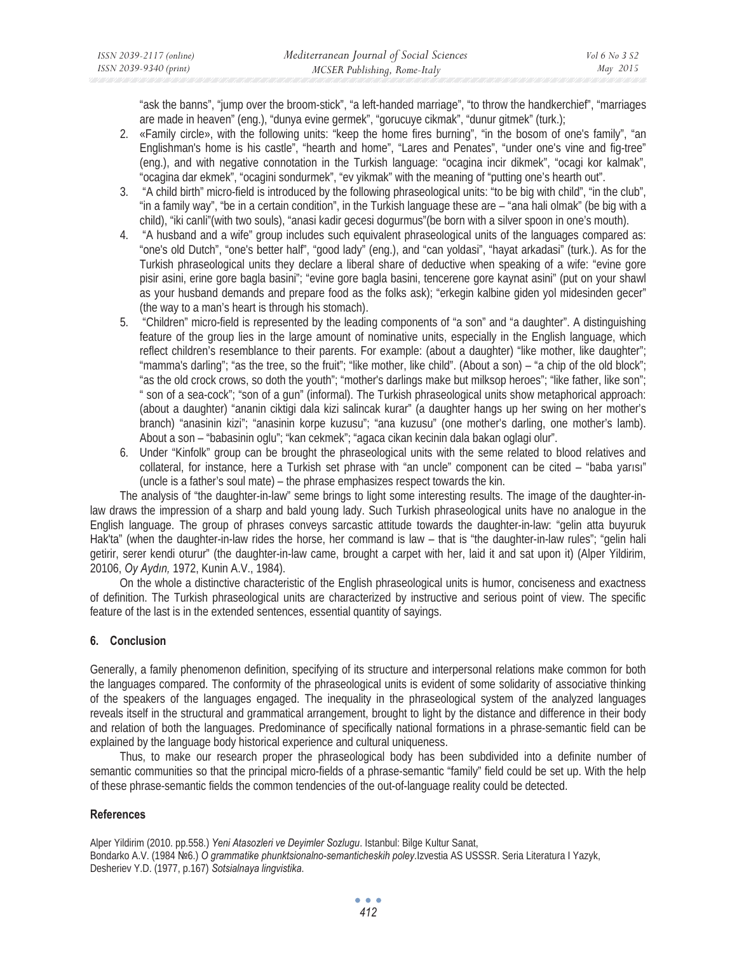"ask the banns", "jump over the broom-stick", "a left-handed marriage", "to throw the handkerchief", "marriages are made in heaven" (eng.), "dunya evine germek", "gorucuye cikmak", "dunur gitmek" (turk.);

- 2. «Family circle», with the following units: "keep the home fires burning", "in the bosom of one's family", "an Englishman's home is his castle", "hearth and home", "Lares and Penates", "under one's vine and fig-tree" (eng.), and with negative connotation in the Turkish language: "ocagina incir dikmek", "ocagi kor kalmak", "ocagina dar ekmek", "ocagini sondurmek", "ev yikmak" with the meaning of "putting one's hearth out".
- 3. "A child birth" micro-field is introduced by the following phraseological units: "to be big with child", "in the club", "in a family way", "be in a certain condition", in the Turkish language these are – "ana hali olmak" (be big with a child), "iki canli"(with two souls), "anasi kadir gecesi dogurmus"(be born with a silver spoon in one's mouth).
- 4. "A husband and a wife" group includes such equivalent phraseological units of the languages compared as: "one's old Dutch", "one's better half", "good lady" (eng.), and "can yoldasi", "hayat arkadasi" (turk.). As for the Turkish phraseological units they declare a liberal share of deductive when speaking of a wife: "evine gore pisir asini, erine gore bagla basini"; "evine gore bagla basini, tencerene gore kaynat asini" (put on your shawl as your husband demands and prepare food as the folks ask); "erkegin kalbine giden yol midesinden gecer" (the way to a man's heart is through his stomach).
- 5. "Children" micro-field is represented by the leading components of "a son" and "a daughter". A distinguishing feature of the group lies in the large amount of nominative units, especially in the English language, which reflect children's resemblance to their parents. For example: (about a daughter) "like mother, like daughter"; "mamma's darling"; "as the tree, so the fruit"; "like mother, like child". (About a son) – "a chip of the old block"; "as the old crock crows, so doth the youth"; "mother's darlings make but milksop heroes"; "like father, like son"; " son of a sea-cock"; "son of a gun" (informal). The Turkish phraseological units show metaphorical approach: (about a daughter) "ananin ciktigi dala kizi salincak kurar" (a daughter hangs up her swing on her mother's branch) "anasinin kizi"; "anasinin korpe kuzusu"; "ana kuzusu" (one mother's darling, one mother's lamb). About a son – "babasinin oglu"; "kan cekmek"; "agaca cikan kecinin dala bakan oglagi olur".
- 6. Under "Kinfolk" group can be brought the phraseological units with the seme related to blood relatives and collateral, for instance, here a Turkish set phrase with "an uncle" component can be cited  $-$  "baba yarısı" (uncle is a father's soul mate) – the phrase emphasizes respect towards the kin.

The analysis of "the daughter-in-law" seme brings to light some interesting results. The image of the daughter-inlaw draws the impression of a sharp and bald young lady. Such Turkish phraseological units have no analogue in the English language. The group of phrases conveys sarcastic attitude towards the daughter-in-law: "gelin atta buyuruk Hak'ta" (when the daughter-in-law rides the horse, her command is law – that is "the daughter-in-law rules"; "gelin hali getirir, serer kendi oturur" (the daughter-in-law came, brought a carpet with her, laid it and sat upon it) (Alper Yildirim, 20106, *Oy Aydın*, 1972, Kunin A.V., 1984).

On the whole a distinctive characteristic of the English phraseological units is humor, conciseness and exactness of definition. The Turkish phraseological units are characterized by instructive and serious point of view. The specific feature of the last is in the extended sentences, essential quantity of sayings.

# **6. Conclusion**

Generally, a family phenomenon definition, specifying of its structure and interpersonal relations make common for both the languages compared. The conformity of the phraseological units is evident of some solidarity of associative thinking of the speakers of the languages engaged. The inequality in the phraseological system of the analyzed languages reveals itself in the structural and grammatical arrangement, brought to light by the distance and difference in their body and relation of both the languages. Predominance of specifically national formations in a phrase-semantic field can be explained by the language body historical experience and cultural uniqueness.

Thus, to make our research proper the phraseological body has been subdivided into a definite number of semantic communities so that the principal micro-fields of a phrase-semantic "family" field could be set up. With the help of these phrase-semantic fields the common tendencies of the out-of-language reality could be detected.

### **References**

Alper Yildirim (2010. pp.558.) *Yeni Atasozleri ve Deyimler Sozlugu*. Istanbul: Bilge Kultur Sanat, Bondarko A.V. (1984 №6.) O grammatike phunktsionalno-semanticheskih poley.Izvestia AS USSSR. Seria Literatura I Yazyk, Desheriev Y.D. (1977, p.167) *Sotsialnaya lingvistika*.